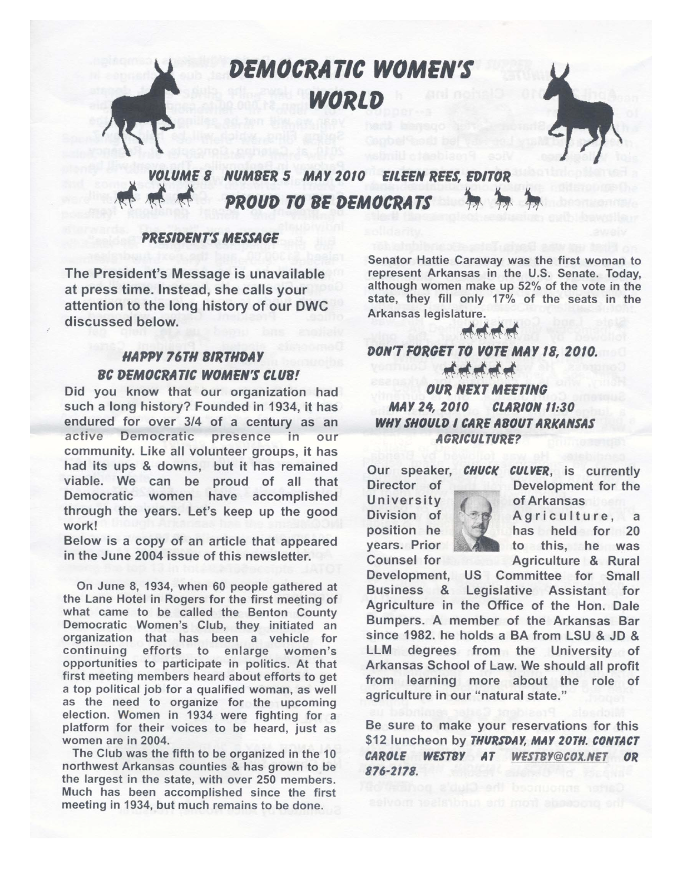DEMOCRATIC WOMEN'S WORLD



#### **VOLUME 8 NUMBER 5 MAY 2010 EILEEN REES. EDITOR PROUD TO BE DEMOCRATS**

### **PRESIDENT'S MESSAGE**

The President's Message is unavailable at press time. Instead, she calls your attention to the long history of our DWC discussed below.

## **HAPPY 76TH BIRTHDAY BC DEMOCRATIC WOMEN'S CLUB!**

Did you know that our organization had such a long history? Founded in 1934, it has endured for over 3/4 of a century as an active Democratic presence  $in$ our community. Like all volunteer groups, it has had its ups & downs, but it has remained viable. We can be proud of all that Democratic women have accomplished through the years. Let's keep up the good work!

Below is a copy of an article that appeared in the June 2004 issue of this newsletter.

On June 8, 1934, when 60 people gathered at the Lane Hotel in Rogers for the first meeting of what came to be called the Benton County Democratic Women's Club, they initiated an organization that has been a vehicle for continuing efforts to enlarge women's opportunities to participate in politics. At that first meeting members heard about efforts to get a top political job for a qualified woman, as well as the need to organize for the upcoming election. Women in 1934 were fighting for a platform for their voices to be heard, just as women are in 2004.

The Club was the fifth to be organized in the 10 northwest Arkansas counties & has grown to be the largest in the state, with over 250 members. Much has been accomplished since the first meeting in 1934, but much remains to be done.

Senator Hattie Caraway was the first woman to represent Arkansas in the U.S. Senate. Today, although women make up 52% of the vote in the state, they fill only 17% of the seats in the Arkansas legislature.

DON'T FORGET TO VOTE MAY 18, 2010. *OUR NEXT MEETING* 

#### **MAY 24, 2010 CLARION 11:30 WHY SHOULD I CARE ABOUT ARKANSAS AGRICULTURE?**

Our speaker, CHUCK CULVER, is currently

Director of University Division of position he years. Prior Counsel for



Development for the of Arkansas Agriculture, a has held for 20 to this, he was Agriculture & Rural

Development, US Committee for Small Business & Legislative Assistant for Agriculture in the Office of the Hon. Dale Bumpers. A member of the Arkansas Bar since 1982, he holds a BA from LSU & JD & LLM degrees from the University of Arkansas School of Law. We should all profit from learning more about the role of agriculture in our "natural state."

Be sure to make your reservations for this \$12 luncheon by THURSDAY, MAY 20TH. CONTACT CAROLE WESTBY AT WESTBY@COX.NET OR 876-2178.